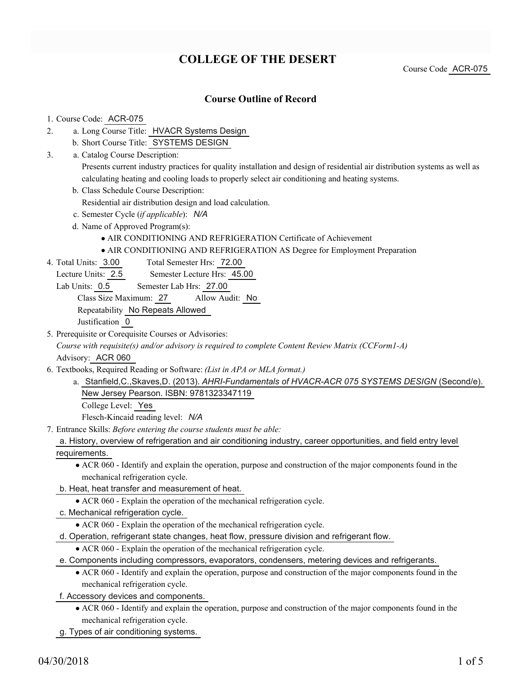# **COLLEGE OF THE DESERT**

Course Code ACR-075

### **Course Outline of Record**

#### 1. Course Code: ACR-075

- a. Long Course Title: HVACR Systems Design 2.
	- b. Short Course Title: SYSTEMS DESIGN
- Catalog Course Description: a. 3.

Presents current industry practices for quality installation and design of residential air distribution systems as well as calculating heating and cooling loads to properly select air conditioning and heating systems.

b. Class Schedule Course Description:

Residential air distribution design and load calculation.

- c. Semester Cycle (*if applicable*): *N/A*
- d. Name of Approved Program(s):
	- AIR CONDITIONING AND REFRIGERATION Certificate of Achievement
	- AIR CONDITIONING AND REFRIGERATION AS Degree for Employment Preparation
- Total Semester Hrs: 72.00 4. Total Units: 3.00

Lecture Units: 2.5 Semester Lecture Hrs: 45.00

Lab Units: 0.5 Semester Lab Hrs: 27.00

Class Size Maximum: 27 Allow Audit: No

Repeatability No Repeats Allowed

Justification 0

5. Prerequisite or Corequisite Courses or Advisories:

*Course with requisite(s) and/or advisory is required to complete Content Review Matrix (CCForm1-A)* Advisory: ACR 060

- Textbooks, Required Reading or Software: *(List in APA or MLA format.)* 6.
	- a. Stanfield,C.,Skaves,D. (2013). *AHRI-Fundamentals of HVACR-ACR 075 SYSTEMS DESIGN* (Second/e). New Jersey Pearson. ISBN: 9781323347119

College Level: Yes

Flesch-Kincaid reading level: *N/A*

Entrance Skills: *Before entering the course students must be able:* 7.

a. History, overview of refrigeration and air conditioning industry, career opportunities, and field entry level requirements.

ACR 060 - Identify and explain the operation, purpose and construction of the major components found in the mechanical refrigeration cycle.

- b. Heat, heat transfer and measurement of heat.
	- ACR 060 Explain the operation of the mechanical refrigeration cycle.
- c. Mechanical refrigeration cycle.

ACR 060 - Explain the operation of the mechanical refrigeration cycle.

d. Operation, refrigerant state changes, heat flow, pressure division and refrigerant flow.

ACR 060 - Explain the operation of the mechanical refrigeration cycle.

e. Components including compressors, evaporators, condensers, metering devices and refrigerants.

- ACR 060 Identify and explain the operation, purpose and construction of the major components found in the mechanical refrigeration cycle.
- f. Accessory devices and components.
	- ACR 060 Identify and explain the operation, purpose and construction of the major components found in the mechanical refrigeration cycle.

g. Types of air conditioning systems.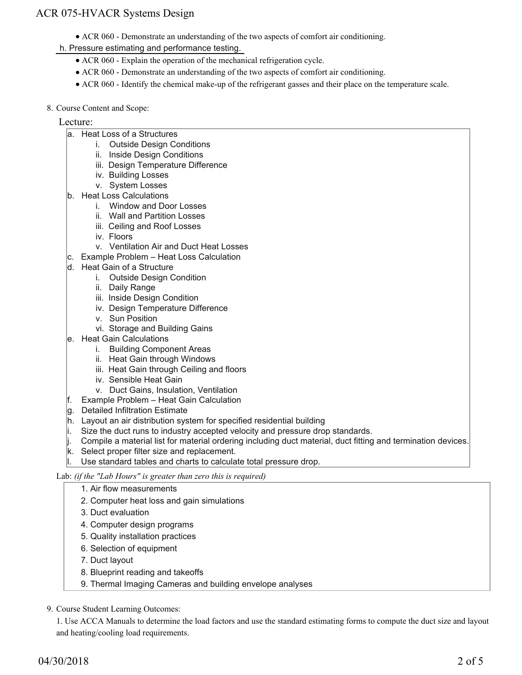## ACR 075-HVACR Systems Design

- ACR 060 Demonstrate an understanding of the two aspects of comfort air conditioning.
- h. Pressure estimating and performance testing.
	- ACR 060 Explain the operation of the mechanical refrigeration cycle.
	- ACR 060 Demonstrate an understanding of the two aspects of comfort air conditioning.
	- ACR 060 Identify the chemical make-up of the refrigerant gasses and their place on the temperature scale.
- 8. Course Content and Scope:

#### Lecture:

- a. Heat Loss of a Structures
	- i. Outside Design Conditions
		- ii. Inside Design Conditions
		- iii. Design Temperature Difference
		- iv. Building Losses
		- v. System Losses
- b. Heat Loss Calculations
	- i. Window and Door Losses
	- ii. Wall and Partition Losses
	- iii. Ceiling and Roof Losses
	- iv. Floors
	- v. Ventilation Air and Duct Heat Losses
- c. Example Problem Heat Loss Calculation
- d. Heat Gain of a Structure
	- i. Outside Design Condition
	- ii. Daily Range
	- iii. Inside Design Condition
	- iv. Design Temperature Difference
	- v. Sun Position
	- vi. Storage and Building Gains
- e. Heat Gain Calculations
	- i. Building Component Areas
	- ii. Heat Gain through Windows
	- iii. Heat Gain through Ceiling and floors
	- iv. Sensible Heat Gain
	- v. Duct Gains, Insulation, Ventilation
- f. Example Problem Heat Gain Calculation
- g. Detailed Infiltration Estimate
- h. Layout an air distribution system for specified residential building
- i. Size the duct runs to industry accepted velocity and pressure drop standards.
- j. Compile a material list for material ordering including duct material, duct fitting and termination devices.
- k. Select proper filter size and replacement.
- Use standard tables and charts to calculate total pressure drop.

Lab: *(if the "Lab Hours" is greater than zero this is required)*

#### 1. Air flow measurements

- 2. Computer heat loss and gain simulations
- 3. Duct evaluation
- 4. Computer design programs
- 5. Quality installation practices
- 6. Selection of equipment
- 7. Duct layout
- 8. Blueprint reading and takeoffs
- 9. Thermal Imaging Cameras and building envelope analyses
- 9. Course Student Learning Outcomes:

1. Use ACCA Manuals to determine the load factors and use the standard estimating forms to compute the duct size and layout and heating/cooling load requirements.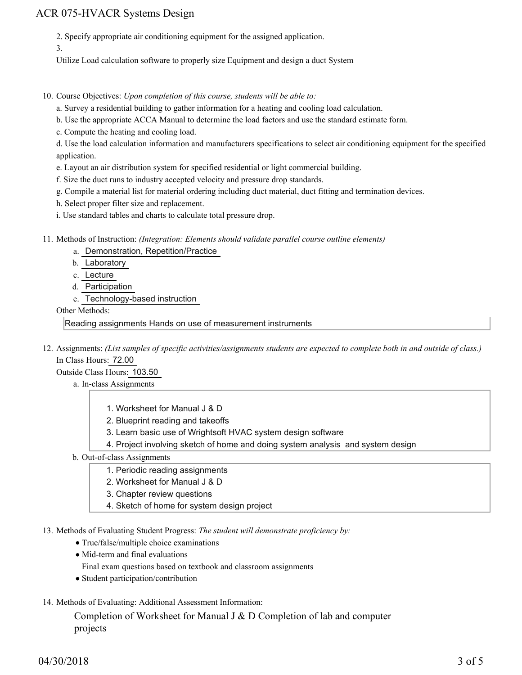### ACR 075-HVACR Systems Design

2. Specify appropriate air conditioning equipment for the assigned application.

3.

Utilize Load calculation software to properly size Equipment and design a duct System

10. Course Objectives: Upon completion of this course, students will be able to:

a. Survey a residential building to gather information for a heating and cooling load calculation.

b. Use the appropriate ACCA Manual to determine the load factors and use the standard estimate form.

c. Compute the heating and cooling load.

d. Use the load calculation information and manufacturers specifications to select air conditioning equipment for the specified application.

e. Layout an air distribution system for specified residential or light commercial building.

f. Size the duct runs to industry accepted velocity and pressure drop standards.

g. Compile a material list for material ordering including duct material, duct fitting and termination devices.

h. Select proper filter size and replacement.

i. Use standard tables and charts to calculate total pressure drop.

Methods of Instruction: *(Integration: Elements should validate parallel course outline elements)* 11.

a. Demonstration, Repetition/Practice

b. Laboratory

c. Lecture

- d. Participation
- e. Technology-based instruction

#### Other Methods:

Reading assignments Hands on use of measurement instruments

12. Assignments: (List samples of specific activities/assignments students are expected to complete both in and outside of class.) In Class Hours: 72.00

Outside Class Hours: 103.50

- a. In-class Assignments
	- 1. Worksheet for Manual J & D
	- 2. Blueprint reading and takeoffs
	- 3. Learn basic use of Wrightsoft HVAC system design software
	- 4. Project involving sketch of home and doing system analysis and system design
- b. Out-of-class Assignments
	- 1. Periodic reading assignments
	- 2. Worksheet for Manual J & D
	- 3. Chapter review questions
	- 4. Sketch of home for system design project

13. Methods of Evaluating Student Progress: The student will demonstrate proficiency by:

- True/false/multiple choice examinations
- Mid-term and final evaluations

Final exam questions based on textbook and classroom assignments

- Student participation/contribution
- 14. Methods of Evaluating: Additional Assessment Information:

Completion of Worksheet for Manual J & D Completion of lab and computer projects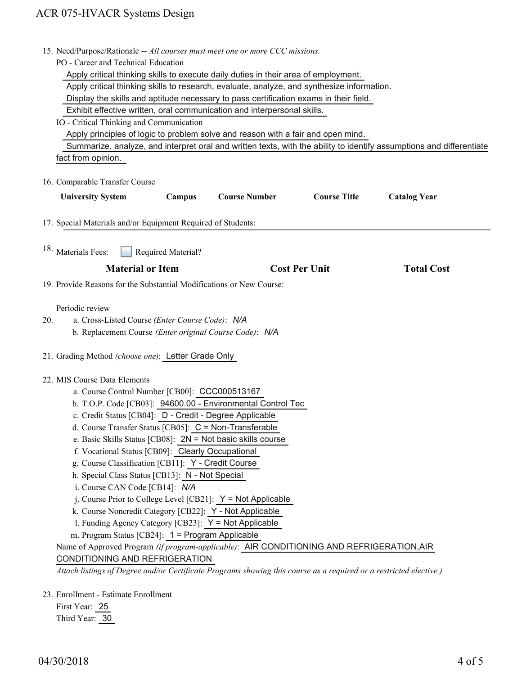| 15. Need/Purpose/Rationale -- All courses must meet one or more CCC missions.                                                                                                                                                                                                                                                                                                                                                                                                                                                                                                                                |                    |                                                                                                                                                                                                                                                                                                                                                                                                                |                      |                     |
|--------------------------------------------------------------------------------------------------------------------------------------------------------------------------------------------------------------------------------------------------------------------------------------------------------------------------------------------------------------------------------------------------------------------------------------------------------------------------------------------------------------------------------------------------------------------------------------------------------------|--------------------|----------------------------------------------------------------------------------------------------------------------------------------------------------------------------------------------------------------------------------------------------------------------------------------------------------------------------------------------------------------------------------------------------------------|----------------------|---------------------|
| PO - Career and Technical Education                                                                                                                                                                                                                                                                                                                                                                                                                                                                                                                                                                          |                    |                                                                                                                                                                                                                                                                                                                                                                                                                |                      |                     |
| Apply critical thinking skills to execute daily duties in their area of employment.                                                                                                                                                                                                                                                                                                                                                                                                                                                                                                                          |                    |                                                                                                                                                                                                                                                                                                                                                                                                                |                      |                     |
| Apply critical thinking skills to research, evaluate, analyze, and synthesize information.                                                                                                                                                                                                                                                                                                                                                                                                                                                                                                                   |                    |                                                                                                                                                                                                                                                                                                                                                                                                                |                      |                     |
| Display the skills and aptitude necessary to pass certification exams in their field.                                                                                                                                                                                                                                                                                                                                                                                                                                                                                                                        |                    |                                                                                                                                                                                                                                                                                                                                                                                                                |                      |                     |
| Exhibit effective written, oral communication and interpersonal skills.                                                                                                                                                                                                                                                                                                                                                                                                                                                                                                                                      |                    |                                                                                                                                                                                                                                                                                                                                                                                                                |                      |                     |
| IO - Critical Thinking and Communication                                                                                                                                                                                                                                                                                                                                                                                                                                                                                                                                                                     |                    |                                                                                                                                                                                                                                                                                                                                                                                                                |                      |                     |
| Apply principles of logic to problem solve and reason with a fair and open mind.                                                                                                                                                                                                                                                                                                                                                                                                                                                                                                                             |                    |                                                                                                                                                                                                                                                                                                                                                                                                                |                      |                     |
| Summarize, analyze, and interpret oral and written texts, with the ability to identify assumptions and differentiate                                                                                                                                                                                                                                                                                                                                                                                                                                                                                         |                    |                                                                                                                                                                                                                                                                                                                                                                                                                |                      |                     |
| fact from opinion.                                                                                                                                                                                                                                                                                                                                                                                                                                                                                                                                                                                           |                    |                                                                                                                                                                                                                                                                                                                                                                                                                |                      |                     |
| 16. Comparable Transfer Course                                                                                                                                                                                                                                                                                                                                                                                                                                                                                                                                                                               |                    |                                                                                                                                                                                                                                                                                                                                                                                                                |                      |                     |
| <b>University System</b>                                                                                                                                                                                                                                                                                                                                                                                                                                                                                                                                                                                     | Campus             | <b>Course Number</b>                                                                                                                                                                                                                                                                                                                                                                                           | <b>Course Title</b>  | <b>Catalog Year</b> |
| 17. Special Materials and/or Equipment Required of Students:                                                                                                                                                                                                                                                                                                                                                                                                                                                                                                                                                 |                    |                                                                                                                                                                                                                                                                                                                                                                                                                |                      |                     |
| <sup>18.</sup> Materials Fees:                                                                                                                                                                                                                                                                                                                                                                                                                                                                                                                                                                               | Required Material? |                                                                                                                                                                                                                                                                                                                                                                                                                |                      |                     |
| <b>Material or Item</b>                                                                                                                                                                                                                                                                                                                                                                                                                                                                                                                                                                                      |                    |                                                                                                                                                                                                                                                                                                                                                                                                                | <b>Cost Per Unit</b> | <b>Total Cost</b>   |
| 19. Provide Reasons for the Substantial Modifications or New Course:                                                                                                                                                                                                                                                                                                                                                                                                                                                                                                                                         |                    |                                                                                                                                                                                                                                                                                                                                                                                                                |                      |                     |
| Periodic review<br>a. Cross-Listed Course (Enter Course Code): N/A<br>20.<br>b. Replacement Course (Enter original Course Code): N/A                                                                                                                                                                                                                                                                                                                                                                                                                                                                         |                    |                                                                                                                                                                                                                                                                                                                                                                                                                |                      |                     |
| 21. Grading Method (choose one): Letter Grade Only                                                                                                                                                                                                                                                                                                                                                                                                                                                                                                                                                           |                    |                                                                                                                                                                                                                                                                                                                                                                                                                |                      |                     |
| 22. MIS Course Data Elements<br>a. Course Control Number [CB00]: CCC000513167<br>c. Credit Status [CB04]: D - Credit - Degree Applicable<br>d. Course Transfer Status [CB05]: C = Non-Transferable<br>f. Vocational Status [CB09]: Clearly Occupational<br>g. Course Classification [CB11]: Y - Credit Course<br>h. Special Class Status [CB13]: N - Not Special<br>i. Course CAN Code [CB14]: N/A<br>k. Course Noncredit Category [CB22]: Y - Not Applicable<br>1. Funding Agency Category [CB23]: Y = Not Applicable<br>m. Program Status [CB24]: 1 = Program Applicable<br>CONDITIONING AND REFRIGERATION |                    | b. T.O.P. Code [CB03]: 94600.00 - Environmental Control Tec<br>e. Basic Skills Status [CB08]: 2N = Not basic skills course<br>j. Course Prior to College Level [CB21]: $Y = Not$ Applicable<br>Name of Approved Program (if program-applicable): AIR CONDITIONING AND REFRIGERATION, AIR<br>Attach listings of Degree and/or Certificate Programs showing this course as a required or a restricted elective.) |                      |                     |
| 23. Enrollment - Estimate Enrollment                                                                                                                                                                                                                                                                                                                                                                                                                                                                                                                                                                         |                    |                                                                                                                                                                                                                                                                                                                                                                                                                |                      |                     |

First Year: 25 Third Year: 30